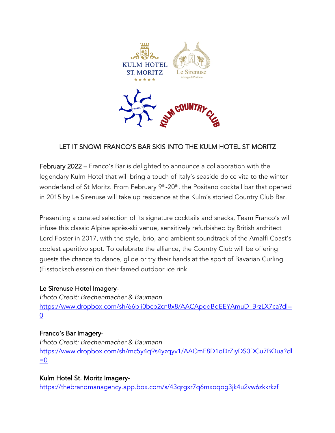

# LET IT SNOW! FRANCO'S BAR SKIS INTO THE KULM HOTEL ST MORITZ

February 2022 – Franco's Bar is delighted to announce a collaboration with the legendary Kulm Hotel that will bring a touch of Italy's seaside dolce vita to the winter wonderland of St Moritz. From February 9<sup>th</sup>-20<sup>th</sup>, the Positano cocktail bar that opened in 2015 by Le Sirenuse will take up residence at the Kulm's storied Country Club Bar.

Presenting a curated selection of its signature cocktails and snacks, Team Franco's will infuse this classic Alpine après-ski venue, sensitively refurbished by British architect Lord Foster in 2017, with the style, brio, and ambient soundtrack of the Amalfi Coast's coolest aperitivo spot. To celebrate the alliance, the Country Club will be offering guests the chance to dance, glide or try their hands at the sport of Bavarian Curling (Eisstockschiessen) on their famed outdoor ice rink.

## Le Sirenuse Hotel Imagery-

*Photo Credit: Brechenmacher & Baumann*  https://www.dropbox.com/sh/66bji0bcp2cn8x8/AACApodBdEEYAmuD\_BrzLX7ca?dl=  $\overline{0}$ 

#### Franco's Bar Imagery-

*Photo Credit: Brechenmacher & Baumann*  https://www.dropbox.com/sh/mc5y4q9s4yzqyv1/AACmF8D1oDrZiyDS0DCu7BQua?dl  $=0$ 

#### Kulm Hotel St. Moritz Imagery-

https://thebrandmanagency.app.box.com/s/43qrgxr7q6mxoqog3jk4u2vw6zkkrkzf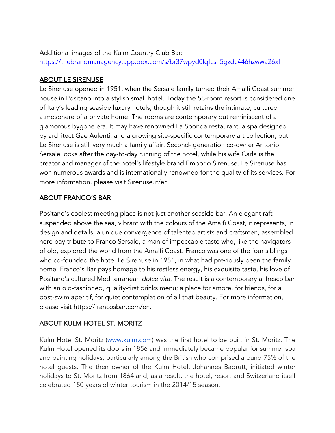Additional images of the Kulm Country Club Bar: https://thebrandmanagency.app.box.com/s/br37wpyd0lqfcsn5gzdc446hzwwa26xf

#### ABOUT LE SIRENUSE

Le Sirenuse opened in 1951, when the Sersale family turned their Amalfi Coast summer house in Positano into a stylish small hotel. Today the 58-room resort is considered one of Italy's leading seaside luxury hotels, though it still retains the intimate, cultured atmosphere of a private home. The rooms are contemporary but reminiscent of a glamorous bygone era. It may have renowned La Sponda restaurant, a spa designed by architect Gae Aulenti, and a growing site-specific contemporary art collection, but Le Sirenuse is still very much a family affair. Second- generation co-owner Antonio Sersale looks after the day-to-day running of the hotel, while his wife Carla is the creator and manager of the hotel's lifestyle brand Emporio Sirenuse. Le Sirenuse has won numerous awards and is internationally renowned for the quality of its services. For more information, please visit Sirenuse.it/en.

### ABOUT FRANCO'S BAR

Positano's coolest meeting place is not just another seaside bar. An elegant raft suspended above the sea, vibrant with the colours of the Amalfi Coast, it represents, in design and details, a unique convergence of talented artists and craftsmen, assembled here pay tribute to Franco Sersale, a man of impeccable taste who, like the navigators of old, explored the world from the Amalfi Coast. Franco was one of the four siblings who co-founded the hotel Le Sirenuse in 1951, in what had previously been the family home. Franco's Bar pays homage to his restless energy, his exquisite taste, his love of Positano's cultured Mediterranean *dolce vita*. The result is a contemporary al fresco bar with an old-fashioned, quality-first drinks menu; a place for amore, for friends, for a post-swim aperitif, for quiet contemplation of all that beauty. For more information, please visit https://francosbar.com/en.

## ABOUT KULM HOTEL ST. MORITZ

Kulm Hotel St. Moritz (www.kulm.com) was the first hotel to be built in St. Moritz. The Kulm Hotel opened its doors in 1856 and immediately became popular for summer spa and painting holidays, particularly among the British who comprised around 75% of the hotel guests. The then owner of the Kulm Hotel, Johannes Badrutt, initiated winter holidays to St. Moritz from 1864 and, as a result, the hotel, resort and Switzerland itself celebrated 150 years of winter tourism in the 2014/15 season.